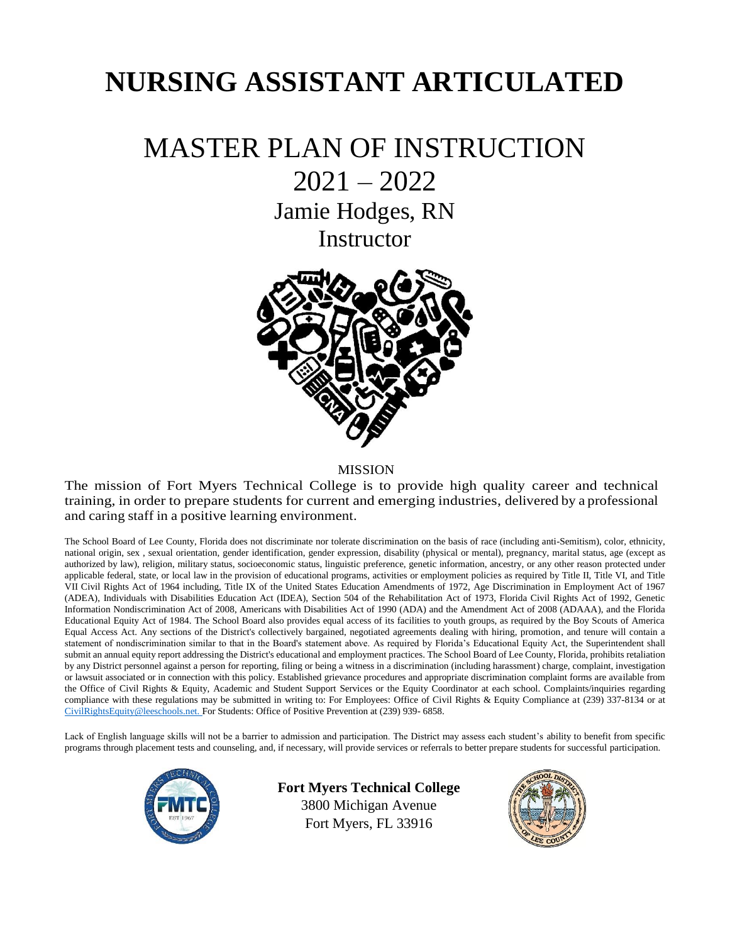# **NURSING ASSISTANT ARTICULATED**

## MASTER PLAN OF INSTRUCTION

2021 – 2022

Jamie Hodges, RN

**Instructor** 



MISSION

The mission of Fort Myers Technical College is to provide high quality career and technical training, in order to prepare students for current and emerging industries, delivered by a professional and caring staff in a positive learning environment.

The School Board of Lee County, Florida does not discriminate nor tolerate discrimination on the basis of race (including anti-Semitism), color, ethnicity, national origin, sex , sexual orientation, gender identification, gender expression, disability (physical or mental), pregnancy, marital status, age (except as authorized by law), religion, military status, socioeconomic status, linguistic preference, genetic information, ancestry, or any other reason protected under applicable federal, state, or local law in the provision of educational programs, activities or employment policies as required by Title II, Title VI, and Title VII Civil Rights Act of 1964 including, Title IX of the United States Education Amendments of 1972, Age Discrimination in Employment Act of 1967 (ADEA), Individuals with Disabilities Education Act (IDEA), Section 504 of the Rehabilitation Act of 1973, Florida Civil Rights Act of 1992, Genetic Information Nondiscrimination Act of 2008, Americans with Disabilities Act of 1990 (ADA) and the Amendment Act of 2008 (ADAAA), and the Florida Educational Equity Act of 1984. The School Board also provides equal access of its facilities to youth groups, as required by the Boy Scouts of America Equal Access Act. Any sections of the District's collectively bargained, negotiated agreements dealing with hiring, promotion, and tenure will contain a statement of nondiscrimination similar to that in the Board's statement above. As required by Florida's Educational Equity Act, the Superintendent shall submit an annual equity report addressing the District's educational and employment practices. The School Board of Lee County, Florida, prohibits retaliation by any District personnel against a person for reporting, filing or being a witness in a discrimination (including harassment) charge, complaint, investigation or lawsuit associated or in connection with this policy. Established grievance procedures and appropriate discrimination complaint forms are available from the Office of Civil Rights & Equity, Academic and Student Support Services or the Equity Coordinator at each school. Complaints/inquiries regarding compliance with these regulations may be submitted in writing to: For Employees: Office of Civil Rights & Equity Compliance at (239) 337-8134 or at [CivilRightsEquity@leeschools.net. F](mailto:CivilRightsEquity@leeschools.net)or Students: Office of Positive Prevention at (239) 939- 6858.

Lack of English language skills will not be a barrier to admission and participation. The District may assess each student's ability to benefit from specific programs through placement tests and counseling, and, if necessary, will provide services or referrals to better prepare students for successful participation.



**Fort Myers Technical College** 3800 Michigan Avenue Fort Myers, FL 33916

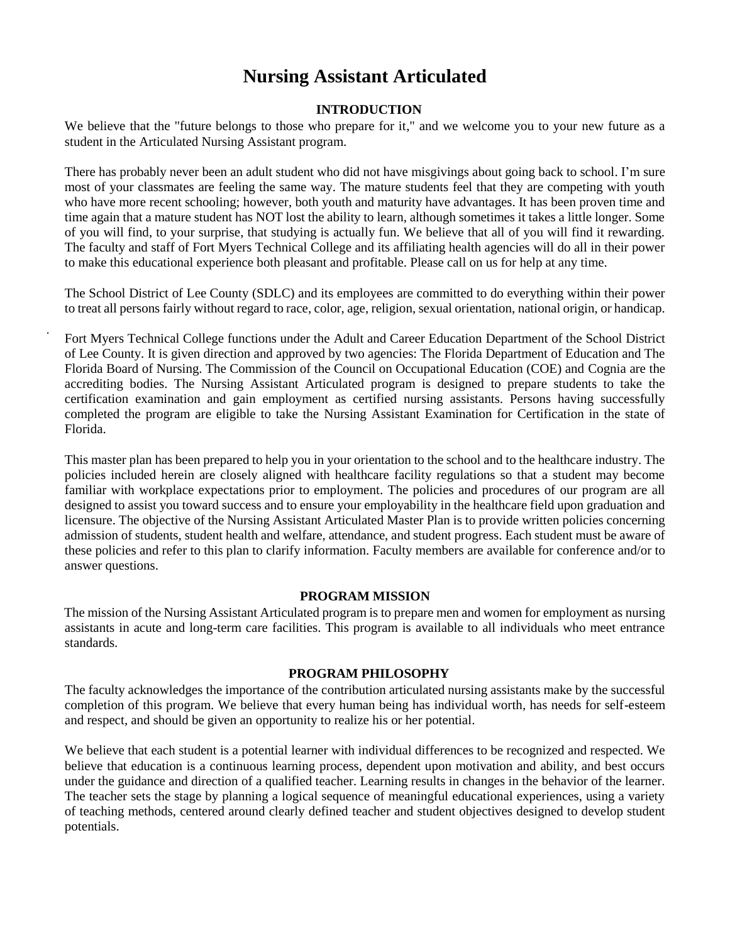### **Nursing Assistant Articulated**

#### **INTRODUCTION**

We believe that the "future belongs to those who prepare for it," and we welcome you to your new future as a student in the Articulated Nursing Assistant program.

There has probably never been an adult student who did not have misgivings about going back to school. I'm sure most of your classmates are feeling the same way. The mature students feel that they are competing with youth who have more recent schooling; however, both youth and maturity have advantages. It has been proven time and time again that a mature student has NOT lost the ability to learn, although sometimes it takes a little longer. Some of you will find, to your surprise, that studying is actually fun. We believe that all of you will find it rewarding. The faculty and staff of Fort Myers Technical College and its affiliating health agencies will do all in their power to make this educational experience both pleasant and profitable. Please call on us for help at any time.

The School District of Lee County (SDLC) and its employees are committed to do everything within their power to treat all persons fairly without regard to race, color, age, religion, sexual orientation, national origin, or handicap.

Fort Myers Technical College functions under the Adult and Career Education Department of the School District of Lee County. It is given direction and approved by two agencies: The Florida Department of Education and The Florida Board of Nursing. The Commission of the Council on Occupational Education (COE) and Cognia are the accrediting bodies. The Nursing Assistant Articulated program is designed to prepare students to take the certification examination and gain employment as certified nursing assistants. Persons having successfully completed the program are eligible to take the Nursing Assistant Examination for Certification in the state of Florida.

This master plan has been prepared to help you in your orientation to the school and to the healthcare industry. The policies included herein are closely aligned with healthcare facility regulations so that a student may become familiar with workplace expectations prior to employment. The policies and procedures of our program are all designed to assist you toward success and to ensure your employability in the healthcare field upon graduation and licensure. The objective of the Nursing Assistant Articulated Master Plan is to provide written policies concerning admission of students, student health and welfare, attendance, and student progress. Each student must be aware of these policies and refer to this plan to clarify information. Faculty members are available for conference and/or to answer questions.

#### **PROGRAM MISSION**

The mission of the Nursing Assistant Articulated program is to prepare men and women for employment as nursing assistants in acute and long-term care facilities. This program is available to all individuals who meet entrance standards.

#### **PROGRAM PHILOSOPHY**

The faculty acknowledges the importance of the contribution articulated nursing assistants make by the successful completion of this program. We believe that every human being has individual worth, has needs for self-esteem and respect, and should be given an opportunity to realize his or her potential.

We believe that each student is a potential learner with individual differences to be recognized and respected. We believe that education is a continuous learning process, dependent upon motivation and ability, and best occurs under the guidance and direction of a qualified teacher. Learning results in changes in the behavior of the learner. The teacher sets the stage by planning a logical sequence of meaningful educational experiences, using a variety of teaching methods, centered around clearly defined teacher and student objectives designed to develop student potentials.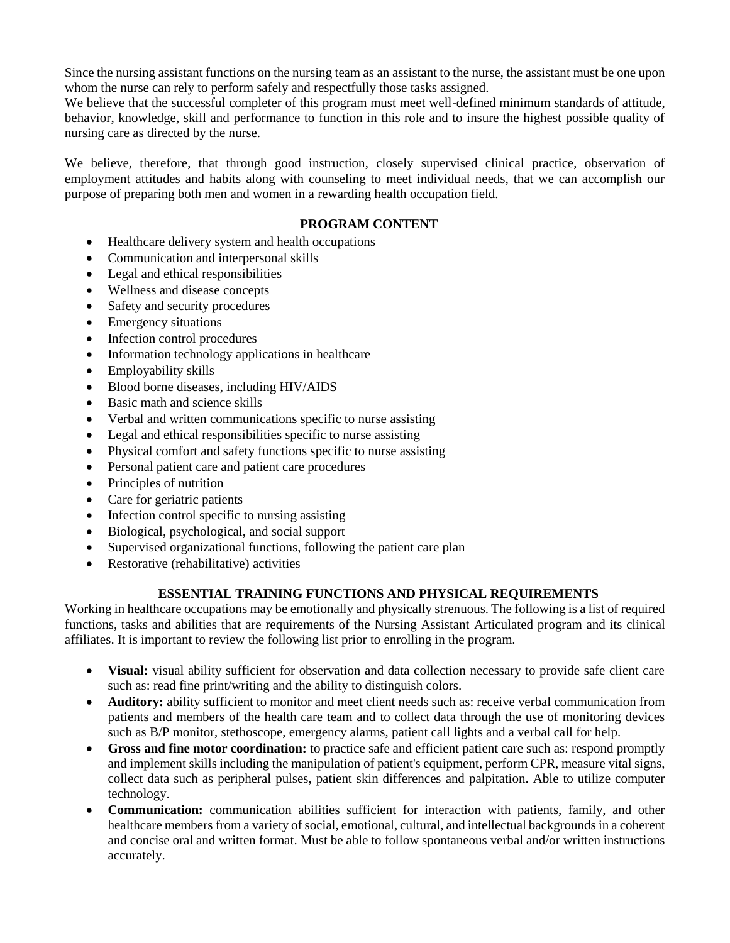Since the nursing assistant functions on the nursing team as an assistant to the nurse, the assistant must be one upon whom the nurse can rely to perform safely and respectfully those tasks assigned.

We believe that the successful completer of this program must meet well-defined minimum standards of attitude, behavior, knowledge, skill and performance to function in this role and to insure the highest possible quality of nursing care as directed by the nurse.

We believe, therefore, that through good instruction, closely supervised clinical practice, observation of employment attitudes and habits along with counseling to meet individual needs, that we can accomplish our purpose of preparing both men and women in a rewarding health occupation field.

#### **PROGRAM CONTENT**

- Healthcare delivery system and health occupations
- Communication and interpersonal skills
- Legal and ethical responsibilities
- Wellness and disease concepts
- Safety and security procedures
- Emergency situations
- Infection control procedures
- Information technology applications in healthcare
- Employability skills
- Blood borne diseases, including HIV/AIDS
- Basic math and science skills
- Verbal and written communications specific to nurse assisting
- Legal and ethical responsibilities specific to nurse assisting
- Physical comfort and safety functions specific to nurse assisting
- Personal patient care and patient care procedures
- Principles of nutrition
- Care for geriatric patients
- Infection control specific to nursing assisting
- Biological, psychological, and social support
- Supervised organizational functions, following the patient care plan
- Restorative (rehabilitative) activities

#### **ESSENTIAL TRAINING FUNCTIONS AND PHYSICAL REQUIREMENTS**

Working in healthcare occupations may be emotionally and physically strenuous. The following is a list of required functions, tasks and abilities that are requirements of the Nursing Assistant Articulated program and its clinical affiliates. It is important to review the following list prior to enrolling in the program.

- **Visual:** visual ability sufficient for observation and data collection necessary to provide safe client care such as: read fine print/writing and the ability to distinguish colors.
- **Auditory:** ability sufficient to monitor and meet client needs such as: receive verbal communication from patients and members of the health care team and to collect data through the use of monitoring devices such as B/P monitor, stethoscope, emergency alarms, patient call lights and a verbal call for help.
- **Gross and fine motor coordination:** to practice safe and efficient patient care such as: respond promptly and implement skills including the manipulation of patient's equipment, perform CPR, measure vital signs, collect data such as peripheral pulses, patient skin differences and palpitation. Able to utilize computer technology.
- **Communication:** communication abilities sufficient for interaction with patients, family, and other healthcare members from a variety of social, emotional, cultural, and intellectual backgrounds in a coherent and concise oral and written format. Must be able to follow spontaneous verbal and/or written instructions accurately.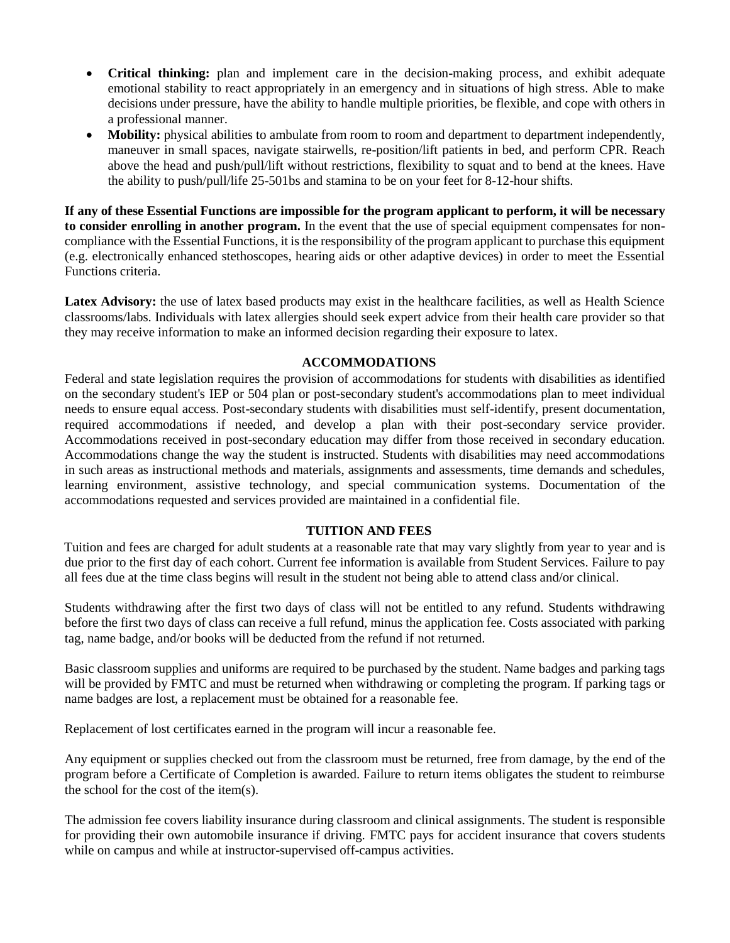- **Critical thinking:** plan and implement care in the decision-making process, and exhibit adequate emotional stability to react appropriately in an emergency and in situations of high stress. Able to make decisions under pressure, have the ability to handle multiple priorities, be flexible, and cope with others in a professional manner.
- **Mobility:** physical abilities to ambulate from room to room and department to department independently, maneuver in small spaces, navigate stairwells, re-position/lift patients in bed, and perform CPR. Reach above the head and push/pull/lift without restrictions, flexibility to squat and to bend at the knees. Have the ability to push/pull/life 25-501bs and stamina to be on your feet for 8-12-hour shifts.

**If any of these Essential Functions are impossible for the program applicant to perform, it will be necessary to consider enrolling in another program.** In the event that the use of special equipment compensates for noncompliance with the Essential Functions, it is the responsibility of the program applicant to purchase this equipment (e.g. electronically enhanced stethoscopes, hearing aids or other adaptive devices) in order to meet the Essential Functions criteria.

Latex Advisory: the use of latex based products may exist in the healthcare facilities, as well as Health Science classrooms/labs. Individuals with latex allergies should seek expert advice from their health care provider so that they may receive information to make an informed decision regarding their exposure to latex.

#### **ACCOMMODATIONS**

Federal and state legislation requires the provision of accommodations for students with disabilities as identified on the secondary student's IEP or 504 plan or post-secondary student's accommodations plan to meet individual needs to ensure equal access. Post-secondary students with disabilities must self-identify, present documentation, required accommodations if needed, and develop a plan with their post-secondary service provider. Accommodations received in post-secondary education may differ from those received in secondary education. Accommodations change the way the student is instructed. Students with disabilities may need accommodations in such areas as instructional methods and materials, assignments and assessments, time demands and schedules, learning environment, assistive technology, and special communication systems. Documentation of the accommodations requested and services provided are maintained in a confidential file.

#### **TUITION AND FEES**

Tuition and fees are charged for adult students at a reasonable rate that may vary slightly from year to year and is due prior to the first day of each cohort. Current fee information is available from Student Services. Failure to pay all fees due at the time class begins will result in the student not being able to attend class and/or clinical.

Students withdrawing after the first two days of class will not be entitled to any refund. Students withdrawing before the first two days of class can receive a full refund, minus the application fee. Costs associated with parking tag, name badge, and/or books will be deducted from the refund if not returned.

Basic classroom supplies and uniforms are required to be purchased by the student. Name badges and parking tags will be provided by FMTC and must be returned when withdrawing or completing the program. If parking tags or name badges are lost, a replacement must be obtained for a reasonable fee.

Replacement of lost certificates earned in the program will incur a reasonable fee.

Any equipment or supplies checked out from the classroom must be returned, free from damage, by the end of the program before a Certificate of Completion is awarded. Failure to return items obligates the student to reimburse the school for the cost of the item(s).

The admission fee covers liability insurance during classroom and clinical assignments. The student is responsible for providing their own automobile insurance if driving. FMTC pays for accident insurance that covers students while on campus and while at instructor-supervised off-campus activities.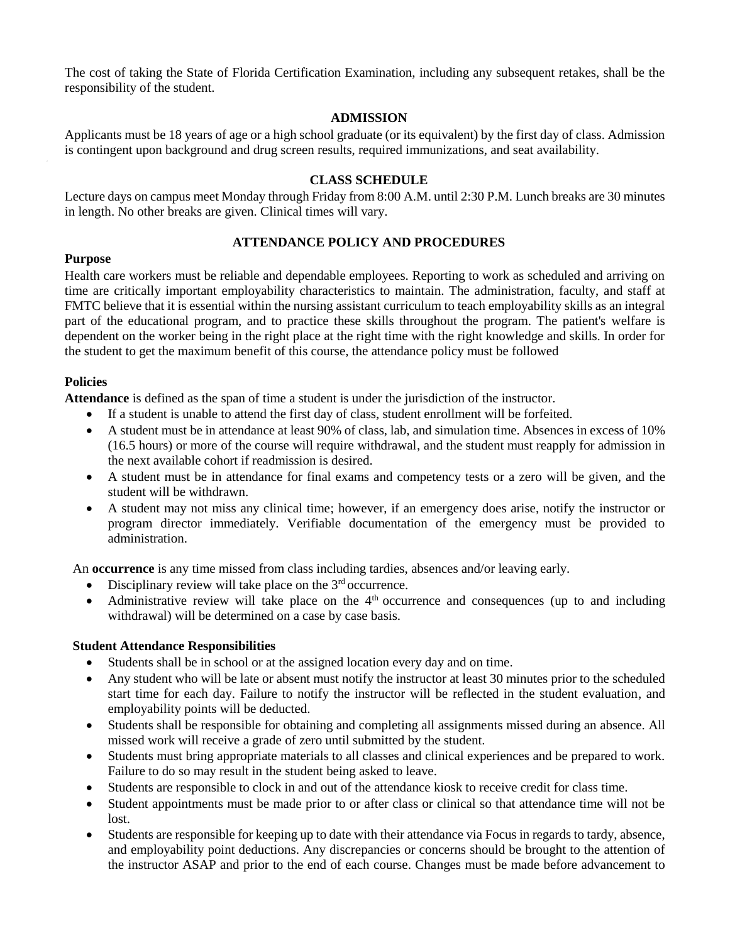The cost of taking the State of Florida Certification Examination, including any subsequent retakes, shall be the responsibility of the student.

#### **ADMISSION**

Applicants must be 18 years of age or a high school graduate (or its equivalent) by the first day of class. Admission is contingent upon background and drug screen results, required immunizations, and seat availability.

#### **CLASS SCHEDULE**

Lecture days on campus meet Monday through Friday from 8:00 A.M. until 2:30 P.M. Lunch breaks are 30 minutes in length. No other breaks are given. Clinical times will vary.

#### **ATTENDANCE POLICY AND PROCEDURES**

#### **Purpose**

Health care workers must be reliable and dependable employees. Reporting to work as scheduled and arriving on time are critically important employability characteristics to maintain. The administration, faculty, and staff at FMTC believe that it is essential within the nursing assistant curriculum to teach employability skills as an integral part of the educational program, and to practice these skills throughout the program. The patient's welfare is dependent on the worker being in the right place at the right time with the right knowledge and skills. In order for the student to get the maximum benefit of this course, the attendance policy must be followed

#### **Policies**

**Attendance** is defined as the span of time a student is under the jurisdiction of the instructor.

- If a student is unable to attend the first day of class, student enrollment will be forfeited.
- A student must be in attendance at least 90% of class, lab, and simulation time. Absences in excess of 10% (16.5 hours) or more of the course will require withdrawal, and the student must reapply for admission in the next available cohort if readmission is desired.
- A student must be in attendance for final exams and competency tests or a zero will be given, and the student will be withdrawn.
- A student may not miss any clinical time; however, if an emergency does arise, notify the instructor or program director immediately. Verifiable documentation of the emergency must be provided to administration.

An **occurrence** is any time missed from class including tardies, absences and/or leaving early.

- Disciplinary review will take place on the  $3<sup>rd</sup>$  occurrence.
- Administrative review will take place on the  $4<sup>th</sup>$  occurrence and consequences (up to and including withdrawal) will be determined on a case by case basis.

#### **Student Attendance Responsibilities**

- Students shall be in school or at the assigned location every day and on time.
- Any student who will be late or absent must notify the instructor at least 30 minutes prior to the scheduled start time for each day. Failure to notify the instructor will be reflected in the student evaluation, and employability points will be deducted.
- Students shall be responsible for obtaining and completing all assignments missed during an absence. All missed work will receive a grade of zero until submitted by the student.
- Students must bring appropriate materials to all classes and clinical experiences and be prepared to work. Failure to do so may result in the student being asked to leave.
- Students are responsible to clock in and out of the attendance kiosk to receive credit for class time.
- Student appointments must be made prior to or after class or clinical so that attendance time will not be lost.
- Students are responsible for keeping up to date with their attendance via Focus in regards to tardy, absence, and employability point deductions. Any discrepancies or concerns should be brought to the attention of the instructor ASAP and prior to the end of each course. Changes must be made before advancement to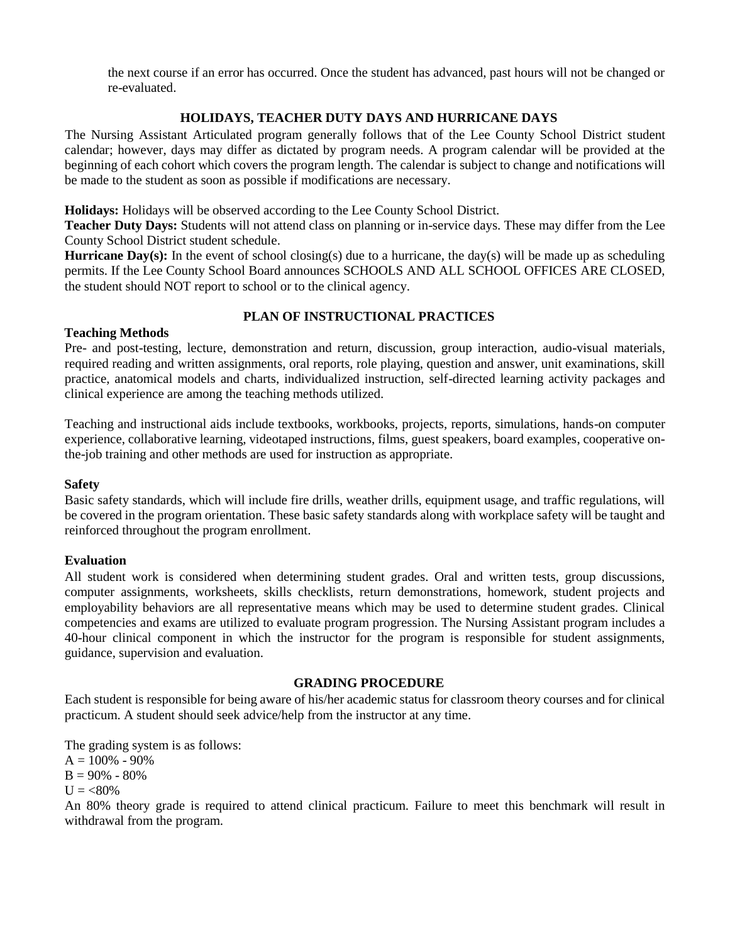the next course if an error has occurred. Once the student has advanced, past hours will not be changed or re-evaluated.

#### **HOLIDAYS, TEACHER DUTY DAYS AND HURRICANE DAYS**

The Nursing Assistant Articulated program generally follows that of the Lee County School District student calendar; however, days may differ as dictated by program needs. A program calendar will be provided at the beginning of each cohort which covers the program length. The calendar is subject to change and notifications will be made to the student as soon as possible if modifications are necessary.

**Holidays:** Holidays will be observed according to the Lee County School District.

**Teacher Duty Days:** Students will not attend class on planning or in-service days. These may differ from the Lee County School District student schedule.

**Hurricane Day(s):** In the event of school closing(s) due to a hurricane, the day(s) will be made up as scheduling permits. If the Lee County School Board announces SCHOOLS AND ALL SCHOOL OFFICES ARE CLOSED, the student should NOT report to school or to the clinical agency.

#### **PLAN OF INSTRUCTIONAL PRACTICES**

#### **Teaching Methods**

Pre- and post-testing, lecture, demonstration and return, discussion, group interaction, audio-visual materials, required reading and written assignments, oral reports, role playing, question and answer, unit examinations, skill practice, anatomical models and charts, individualized instruction, self-directed learning activity packages and clinical experience are among the teaching methods utilized.

Teaching and instructional aids include textbooks, workbooks, projects, reports, simulations, hands-on computer experience, collaborative learning, videotaped instructions, films, guest speakers, board examples, cooperative onthe-job training and other methods are used for instruction as appropriate.

#### **Safety**

Basic safety standards, which will include fire drills, weather drills, equipment usage, and traffic regulations, will be covered in the program orientation. These basic safety standards along with workplace safety will be taught and reinforced throughout the program enrollment.

#### **Evaluation**

All student work is considered when determining student grades. Oral and written tests, group discussions, computer assignments, worksheets, skills checklists, return demonstrations, homework, student projects and employability behaviors are all representative means which may be used to determine student grades. Clinical competencies and exams are utilized to evaluate program progression. The Nursing Assistant program includes a 40-hour clinical component in which the instructor for the program is responsible for student assignments, guidance, supervision and evaluation.

#### **GRADING PROCEDURE**

Each student is responsible for being aware of his/her academic status for classroom theory courses and for clinical practicum. A student should seek advice/help from the instructor at any time.

The grading system is as follows:  $A = 100\% - 90\%$  $B = 90\% - 80\%$  $U = < 80\%$ 

An 80% theory grade is required to attend clinical practicum. Failure to meet this benchmark will result in withdrawal from the program.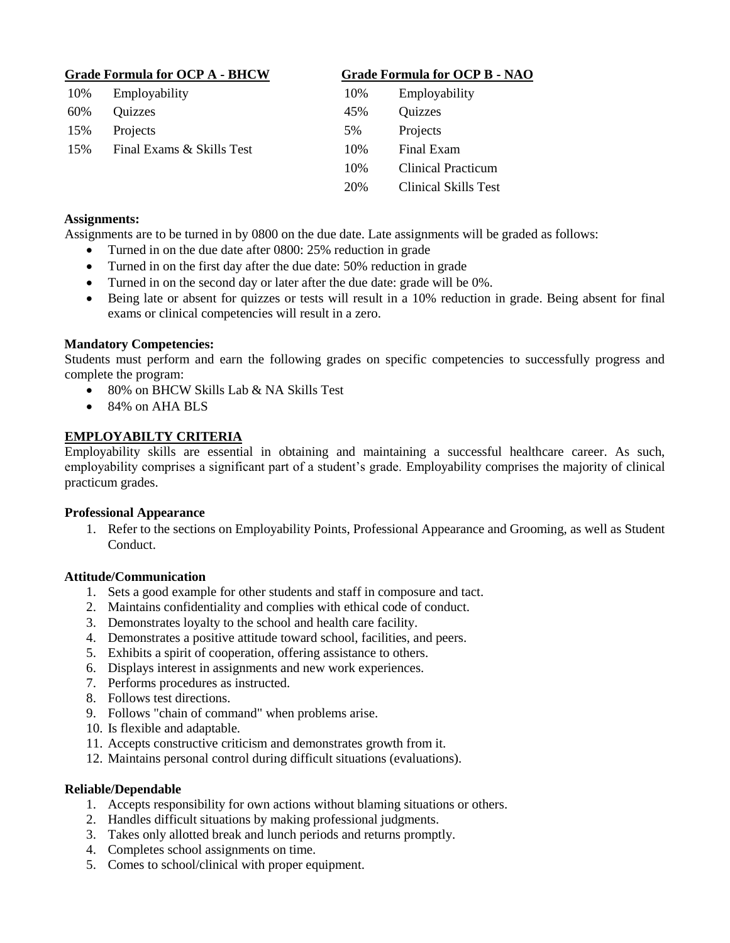| <b>Grade Formula for OCP A - BHCW</b> |                           |     | <b>Grade Formula for OCP B - NAO</b> |  |
|---------------------------------------|---------------------------|-----|--------------------------------------|--|
| 10%                                   | Employability             | 10% | Employability                        |  |
| 60%                                   | Quizzes                   | 45% | Quizzes                              |  |
| 15%                                   | Projects                  | 5%  | Projects                             |  |
| 15%                                   | Final Exams & Skills Test | 10% | Final Exam                           |  |
|                                       |                           | 10% | <b>Clinical Practicum</b>            |  |
|                                       |                           | 20% | Clinical Skills Test                 |  |

#### **Assignments:**

Assignments are to be turned in by 0800 on the due date. Late assignments will be graded as follows:

- Turned in on the due date after 0800: 25% reduction in grade
- Turned in on the first day after the due date: 50% reduction in grade
- Turned in on the second day or later after the due date: grade will be 0%.
- Being late or absent for quizzes or tests will result in a 10% reduction in grade. Being absent for final exams or clinical competencies will result in a zero.

#### **Mandatory Competencies:**

Students must perform and earn the following grades on specific competencies to successfully progress and complete the program:

- 80% on BHCW Skills Lab & NA Skills Test
- 84% on AHA BLS

#### **EMPLOYABILTY CRITERIA**

Employability skills are essential in obtaining and maintaining a successful healthcare career. As such, employability comprises a significant part of a student's grade. Employability comprises the majority of clinical practicum grades.

#### **Professional Appearance**

1. Refer to the sections on Employability Points, Professional Appearance and Grooming, as well as Student Conduct.

#### **Attitude/Communication**

- 1. Sets a good example for other students and staff in composure and tact.
- 2. Maintains confidentiality and complies with ethical code of conduct.
- 3. Demonstrates loyalty to the school and health care facility.
- 4. Demonstrates a positive attitude toward school, facilities, and peers.
- 5. Exhibits a spirit of cooperation, offering assistance to others.
- 6. Displays interest in assignments and new work experiences.
- 7. Performs procedures as instructed.
- 8. Follows test directions.
- 9. Follows "chain of command" when problems arise.
- 10. Is flexible and adaptable.
- 11. Accepts constructive criticism and demonstrates growth from it.
- 12. Maintains personal control during difficult situations (evaluations).

#### **Reliable/Dependable**

- 1. Accepts responsibility for own actions without blaming situations or others.
- 2. Handles difficult situations by making professional judgments.
- 3. Takes only allotted break and lunch periods and returns promptly.
- 4. Completes school assignments on time.
- 5. Comes to school/clinical with proper equipment.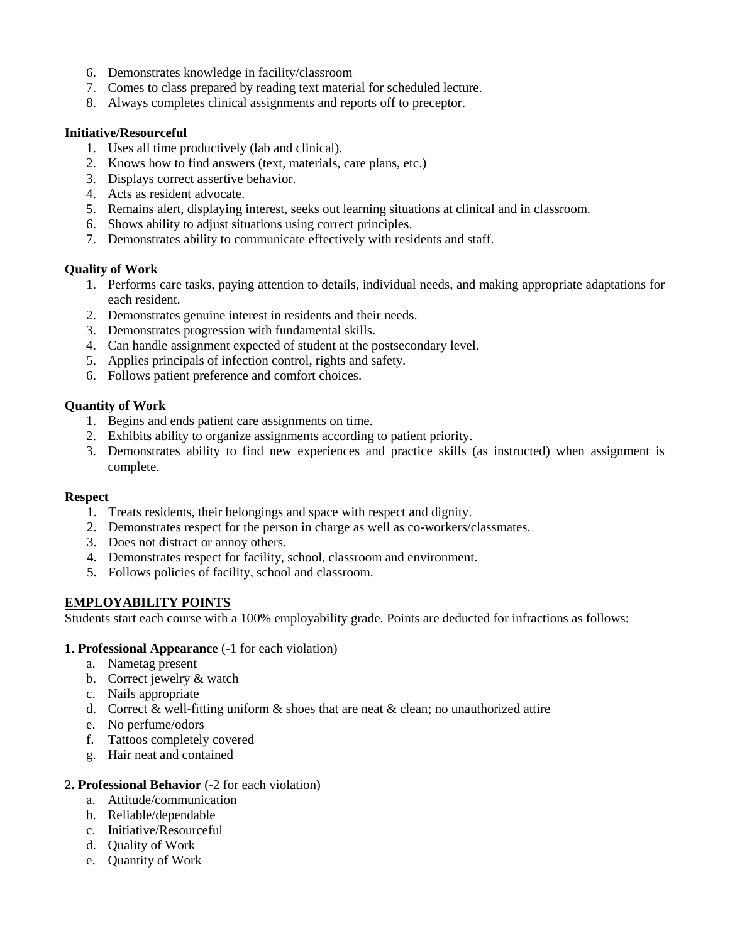- 6. Demonstrates knowledge in facility/classroom
- 7. Comes to class prepared by reading text material for scheduled lecture.
- 8. Always completes clinical assignments and reports off to preceptor.

#### **Initiative/Resourceful**

- 1. Uses all time productively (lab and clinical).
- 2. Knows how to find answers (text, materials, care plans, etc.)
- 3. Displays correct assertive behavior.
- 4. Acts as resident advocate.
- 5. Remains alert, displaying interest, seeks out learning situations at clinical and in classroom.
- 6. Shows ability to adjust situations using correct principles.
- 7. Demonstrates ability to communicate effectively with residents and staff.

#### **Quality of Work**

- 1. Performs care tasks, paying attention to details, individual needs, and making appropriate adaptations for each resident.
- 2. Demonstrates genuine interest in residents and their needs.
- 3. Demonstrates progression with fundamental skills.
- 4. Can handle assignment expected of student at the postsecondary level.
- 5. Applies principals of infection control, rights and safety.
- 6. Follows patient preference and comfort choices.

#### **Quantity of Work**

- 1. Begins and ends patient care assignments on time.
- 2. Exhibits ability to organize assignments according to patient priority.
- 3. Demonstrates ability to find new experiences and practice skills (as instructed) when assignment is complete.

#### **Respect**

- 1. Treats residents, their belongings and space with respect and dignity.
- 2. Demonstrates respect for the person in charge as well as co-workers/classmates.
- 3. Does not distract or annoy others.
- 4. Demonstrates respect for facility, school, classroom and environment.
- 5. Follows policies of facility, school and classroom.

#### **EMPLOYABILITY POINTS**

Students start each course with a 100% employability grade. Points are deducted for infractions as follows:

#### **1. Professional Appearance** (-1 for each violation)

- a. Nametag present
- b. Correct jewelry & watch
- c. Nails appropriate
- d. Correct & well-fitting uniform  $\&$  shoes that are neat  $\&$  clean; no unauthorized attire
- e. No perfume/odors
- f. Tattoos completely covered
- g. Hair neat and contained

#### **2. Professional Behavior** (-2 for each violation)

- a. Attitude/communication
- b. Reliable/dependable
- c. Initiative/Resourceful
- d. Quality of Work
- e. Quantity of Work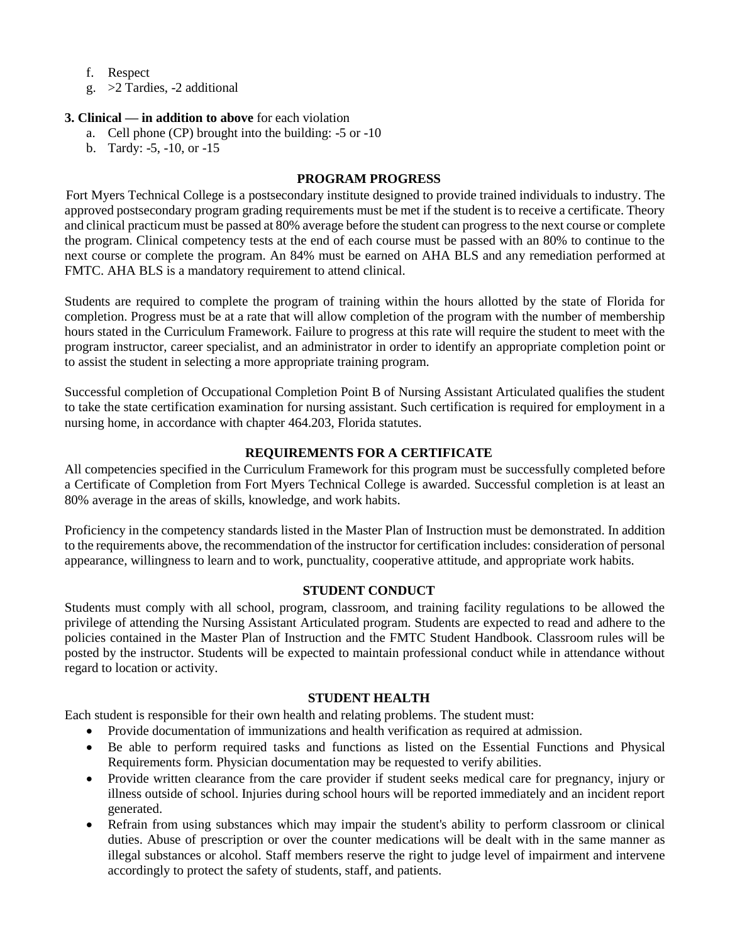- f. Respect
- g. >2 Tardies, -2 additional

#### **3. Clinical — in addition to above** for each violation

- a. Cell phone (CP) brought into the building: -5 or -10
- b. Tardy: -5, -10, or -15

#### **PROGRAM PROGRESS**

Fort Myers Technical College is a postsecondary institute designed to provide trained individuals to industry. The approved postsecondary program grading requirements must be met if the student is to receive a certificate. Theory and clinical practicum must be passed at 80% average before the student can progress to the next course or complete the program. Clinical competency tests at the end of each course must be passed with an 80% to continue to the next course or complete the program. An 84% must be earned on AHA BLS and any remediation performed at FMTC. AHA BLS is a mandatory requirement to attend clinical.

Students are required to complete the program of training within the hours allotted by the state of Florida for completion. Progress must be at a rate that will allow completion of the program with the number of membership hours stated in the Curriculum Framework. Failure to progress at this rate will require the student to meet with the program instructor, career specialist, and an administrator in order to identify an appropriate completion point or to assist the student in selecting a more appropriate training program.

Successful completion of Occupational Completion Point B of Nursing Assistant Articulated qualifies the student to take the state certification examination for nursing assistant. Such certification is required for employment in a nursing home, in accordance with chapter 464.203, Florida statutes.

#### **REQUIREMENTS FOR A CERTIFICATE**

All competencies specified in the Curriculum Framework for this program must be successfully completed before a Certificate of Completion from Fort Myers Technical College is awarded. Successful completion is at least an 80% average in the areas of skills, knowledge, and work habits.

Proficiency in the competency standards listed in the Master Plan of Instruction must be demonstrated. In addition to the requirements above, the recommendation of the instructor for certification includes: consideration of personal appearance, willingness to learn and to work, punctuality, cooperative attitude, and appropriate work habits.

#### **STUDENT CONDUCT**

Students must comply with all school, program, classroom, and training facility regulations to be allowed the privilege of attending the Nursing Assistant Articulated program. Students are expected to read and adhere to the policies contained in the Master Plan of Instruction and the FMTC Student Handbook. Classroom rules will be posted by the instructor. Students will be expected to maintain professional conduct while in attendance without regard to location or activity.

#### **STUDENT HEALTH**

Each student is responsible for their own health and relating problems. The student must:

- Provide documentation of immunizations and health verification as required at admission.
- Be able to perform required tasks and functions as listed on the Essential Functions and Physical Requirements form. Physician documentation may be requested to verify abilities.
- Provide written clearance from the care provider if student seeks medical care for pregnancy, injury or illness outside of school. Injuries during school hours will be reported immediately and an incident report generated.
- Refrain from using substances which may impair the student's ability to perform classroom or clinical duties. Abuse of prescription or over the counter medications will be dealt with in the same manner as illegal substances or alcohol. Staff members reserve the right to judge level of impairment and intervene accordingly to protect the safety of students, staff, and patients.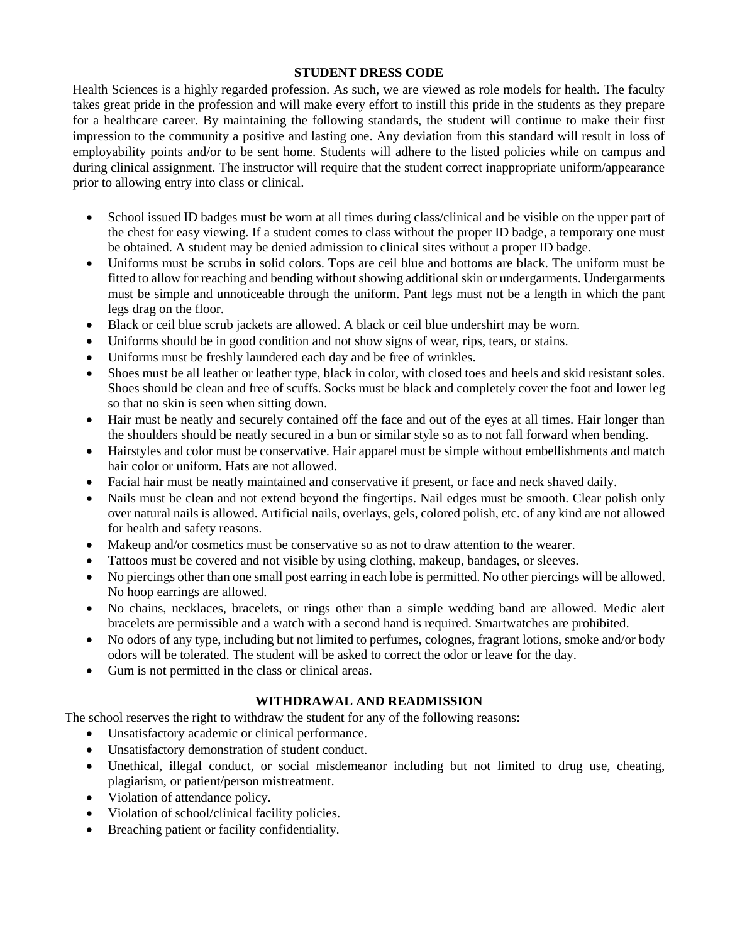#### **STUDENT DRESS CODE**

Health Sciences is a highly regarded profession. As such, we are viewed as role models for health. The faculty takes great pride in the profession and will make every effort to instill this pride in the students as they prepare for a healthcare career. By maintaining the following standards, the student will continue to make their first impression to the community a positive and lasting one. Any deviation from this standard will result in loss of employability points and/or to be sent home. Students will adhere to the listed policies while on campus and during clinical assignment. The instructor will require that the student correct inappropriate uniform/appearance prior to allowing entry into class or clinical.

- School issued ID badges must be worn at all times during class/clinical and be visible on the upper part of the chest for easy viewing. If a student comes to class without the proper ID badge, a temporary one must be obtained. A student may be denied admission to clinical sites without a proper ID badge.
- Uniforms must be scrubs in solid colors. Tops are ceil blue and bottoms are black. The uniform must be fitted to allow for reaching and bending without showing additional skin or undergarments. Undergarments must be simple and unnoticeable through the uniform. Pant legs must not be a length in which the pant legs drag on the floor.
- Black or ceil blue scrub jackets are allowed. A black or ceil blue undershirt may be worn.
- Uniforms should be in good condition and not show signs of wear, rips, tears, or stains.
- Uniforms must be freshly laundered each day and be free of wrinkles.
- Shoes must be all leather or leather type, black in color, with closed toes and heels and skid resistant soles. Shoes should be clean and free of scuffs. Socks must be black and completely cover the foot and lower leg so that no skin is seen when sitting down.
- Hair must be neatly and securely contained off the face and out of the eyes at all times. Hair longer than the shoulders should be neatly secured in a bun or similar style so as to not fall forward when bending.
- Hairstyles and color must be conservative. Hair apparel must be simple without embellishments and match hair color or uniform. Hats are not allowed.
- Facial hair must be neatly maintained and conservative if present, or face and neck shaved daily.
- Nails must be clean and not extend beyond the fingertips. Nail edges must be smooth. Clear polish only over natural nails is allowed. Artificial nails, overlays, gels, colored polish, etc. of any kind are not allowed for health and safety reasons.
- Makeup and/or cosmetics must be conservative so as not to draw attention to the wearer.
- Tattoos must be covered and not visible by using clothing, makeup, bandages, or sleeves.
- No piercings other than one small post earring in each lobe is permitted. No other piercings will be allowed. No hoop earrings are allowed.
- No chains, necklaces, bracelets, or rings other than a simple wedding band are allowed. Medic alert bracelets are permissible and a watch with a second hand is required. Smartwatches are prohibited.
- No odors of any type, including but not limited to perfumes, colognes, fragrant lotions, smoke and/or body odors will be tolerated. The student will be asked to correct the odor or leave for the day.
- Gum is not permitted in the class or clinical areas.

#### **WITHDRAWAL AND READMISSION**

The school reserves the right to withdraw the student for any of the following reasons:

- Unsatisfactory academic or clinical performance.
- Unsatisfactory demonstration of student conduct.
- Unethical, illegal conduct, or social misdemeanor including but not limited to drug use, cheating, plagiarism, or patient/person mistreatment.
- Violation of attendance policy.
- Violation of school/clinical facility policies.
- Breaching patient or facility confidentiality.